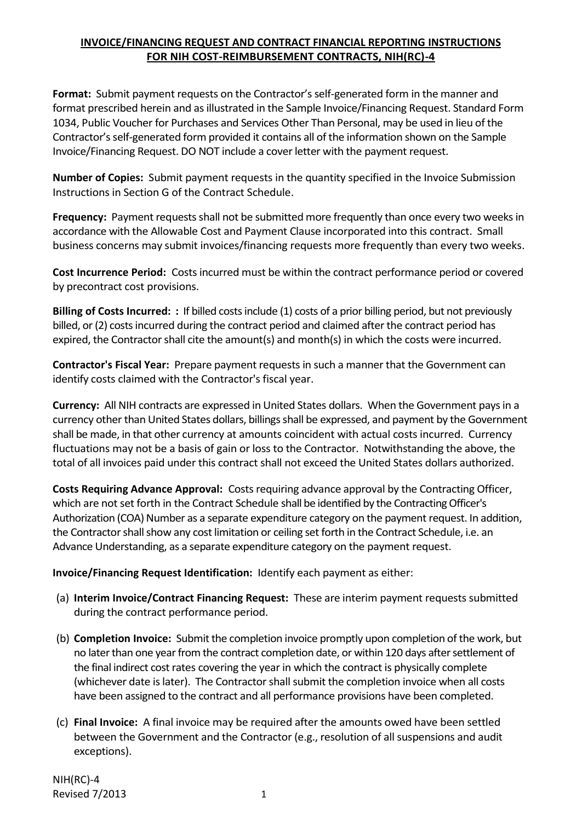## **INVOICE/FINANCING REQUEST AND CONTRACT FINANCIAL REPORTING INSTRUCTIONS FOR NIH COST-REIMBURSEMENT CONTRACTS, NIH(RC)-4**

**Format:** Submit payment requests on the Contractor's self-generated form in the manner and format prescribed herein and as illustrated in the Sample Invoice/Financing Request. Standard Form 1034, Public Voucher for Purchases and Services Other Than Personal, may be used in lieu of the Contractor's self-generated form provided it contains all of the information shown on the Sample Invoice/Financing Request. DO NOT include a cover letter with the payment request.

**Number of Copies:** Submit payment requests in the quantity specified in the Invoice Submission Instructions in Section G of the Contract Schedule.

**Frequency:** Payment requests shall not be submitted more frequently than once every two weeks in accordance with the Allowable Cost and Payment Clause incorporated into this contract. Small business concerns may submit invoices/financing requests more frequently than every two weeks.

**Cost Incurrence Period:** Costs incurred must be within the contract performance period or covered by precontract cost provisions.

**Billing of Costs Incurred: :** If billed costs include (1) costs of a prior billing period, but not previously billed, or (2) costs incurred during the contract period and claimed after the contract period has expired, the Contractor shall cite the amount(s) and month(s) in which the costs were incurred.

**Contractor's Fiscal Year:** Prepare payment requests in such a manner that the Government can identify costs claimed with the Contractor's fiscal year.

**Currency:** All NIH contracts are expressed in United States dollars. When the Government pays in a currency other than United States dollars, billings shall be expressed, and payment by the Government shall be made, in that other currency at amounts coincident with actual costs incurred. Currency fluctuations may not be a basis of gain or loss to the Contractor. Notwithstanding the above, the total of all invoices paid under this contract shall not exceed the United States dollars authorized.

**Costs Requiring Advance Approval:** Costs requiring advance approval by the Contracting Officer, which are not set forth in the Contract Schedule shall be identified by the Contracting Officer's Authorization (COA) Number as a separate expenditure category on the payment request. In addition, the Contractor shall show any cost limitation or ceiling set forth in the Contract Schedule, i.e. an Advance Understanding, as a separate expenditure category on the payment request.

**Invoice/Financing Request Identification:** Identify each payment as either:

- (a) **Interim Invoice/Contract Financing Request:** These are interim payment requests submitted during the contract performance period.
- (b) **Completion Invoice:** Submit the completion invoice promptly upon completion of the work, but no later than one year from the contract completion date, or within 120 days after settlement of the final indirect cost rates covering the year in which the contract is physically complete (whichever date is later). The Contractor shall submit the completion invoice when all costs have been assigned to the contract and all performance provisions have been completed.
- (c) **Final Invoice:** A final invoice may be required after the amounts owed have been settled between the Government and the Contractor (e.g., resolution of all suspensions and audit exceptions).

NIH(RC)-4 Revised 7/2013 1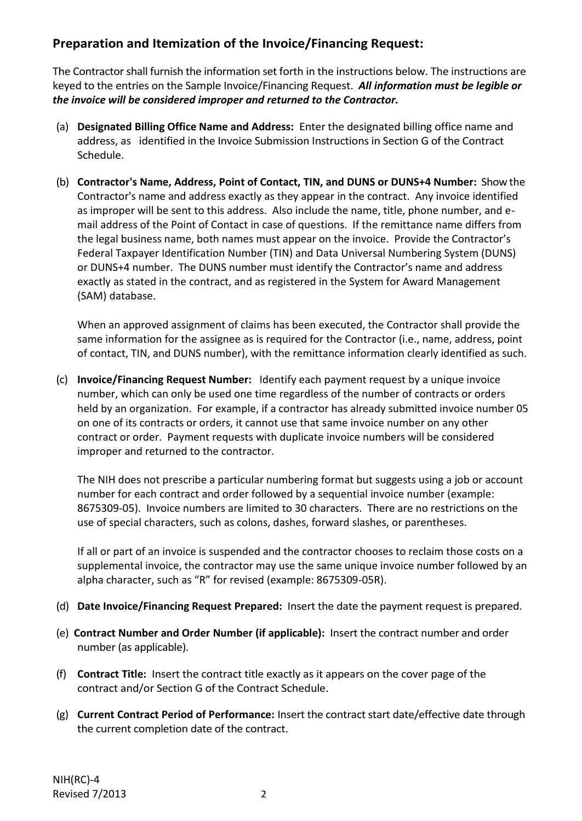## **Preparation and Itemization of the Invoice/Financing Request:**

The Contractor shall furnish the information set forth in the instructions below. The instructions are keyed to the entries on the Sample Invoice/Financing Request. *All information must be legible or the invoice will be considered improper and returned to the Contractor.*

- (a) **Designated Billing Office Name and Address:** Enter the designated billing office name and address, as identified in the Invoice Submission Instructions in Section G of the Contract Schedule.
- (b) **Contractor's Name, Address, Point of Contact, TIN, and DUNS or DUNS+4 Number:** Show the Contractor's name and address exactly as they appear in the contract. Any invoice identified as improper will be sent to this address. Also include the name, title, phone number, and email address of the Point of Contact in case of questions. If the remittance name differs from the legal business name, both names must appear on the invoice. Provide the Contractor's Federal Taxpayer Identification Number (TIN) and Data Universal Numbering System (DUNS) or DUNS+4 number. The DUNS number must identify the Contractor's name and address exactly as stated in the contract, and as registered in the System for Award Management (SAM) database.

When an approved assignment of claims has been executed, the Contractor shall provide the same information for the assignee as is required for the Contractor (i.e., name, address, point of contact, TIN, and DUNS number), with the remittance information clearly identified as such.

(c) **Invoice/Financing Request Number:** Identify each payment request by a unique invoice number, which can only be used one time regardless of the number of contracts or orders held by an organization. For example, if a contractor has already submitted invoice number 05 on one of its contracts or orders, it cannot use that same invoice number on any other contract or order. Payment requests with duplicate invoice numbers will be considered improper and returned to the contractor.

The NIH does not prescribe a particular numbering format but suggests using a job or account number for each contract and order followed by a sequential invoice number (example: 8675309-05). Invoice numbers are limited to 30 characters. There are no restrictions on the use of special characters, such as colons, dashes, forward slashes, or parentheses.

If all or part of an invoice is suspended and the contractor chooses to reclaim those costs on a supplemental invoice, the contractor may use the same unique invoice number followed by an alpha character, such as "R" for revised (example: 8675309-05R).

- (d) **Date Invoice/Financing Request Prepared:** Insert the date the payment request is prepared.
- (e) **Contract Number and Order Number (if applicable):** Insert the contract number and order number (as applicable).
- (f) **Contract Title:** Insert the contract title exactly as it appears on the cover page of the contract and/or Section G of the Contract Schedule.
- (g) **Current Contract Period of Performance:** Insert the contract start date/effective date through the current completion date of the contract.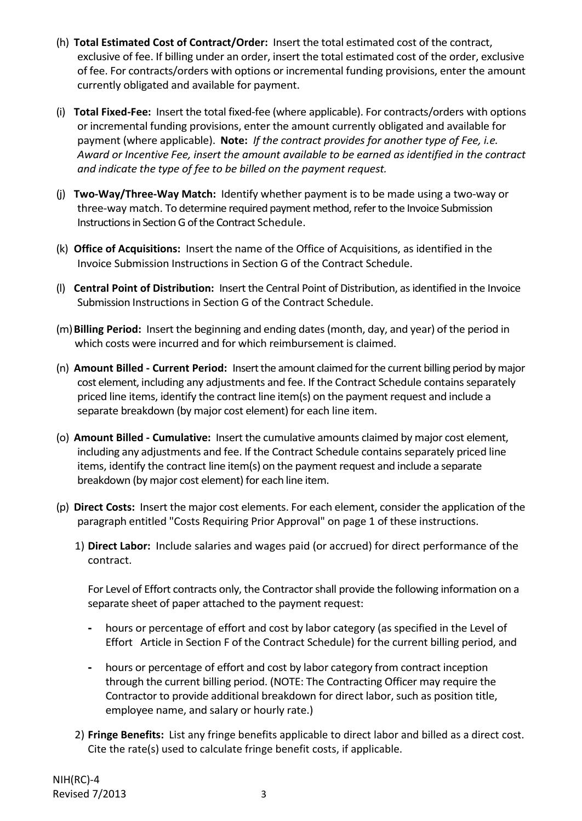- (h) **Total Estimated Cost of Contract/Order:** Insert the total estimated cost of the contract, exclusive of fee. If billing under an order, insert the total estimated cost of the order, exclusive of fee. For contracts/orders with options or incremental funding provisions, enter the amount currently obligated and available for payment.
- (i) **Total Fixed-Fee:** Insert the total fixed-fee (where applicable). For contracts/orders with options or incremental funding provisions, enter the amount currently obligated and available for payment (where applicable). **Note:** *If the contract provides for another type of Fee, i.e. Award or Incentive Fee, insert the amount available to be earned as identified in the contract and indicate the type of fee to be billed on the payment request.*
- (j) **Two-Way/Three-Way Match:** Identify whether payment is to be made using a two-way or three-way match. To determine required payment method, refer to the Invoice Submission Instructions in Section G of the Contract Schedule.
- (k) **Office of Acquisitions:** Insert the name of the Office of Acquisitions, as identified in the Invoice Submission Instructions in Section G of the Contract Schedule.
- (l) **Central Point of Distribution:** Insert the Central Point of Distribution, as identified in the Invoice Submission Instructions in Section G of the Contract Schedule.
- (m)**Billing Period:** Insert the beginning and ending dates (month, day, and year) of the period in which costs were incurred and for which reimbursement is claimed.
- (n) **Amount Billed Current Period:** Insert the amount claimed for the current billing period by major cost element, including any adjustments and fee. If the Contract Schedule contains separately priced line items, identify the contract line item(s) on the payment request and include a separate breakdown (by major cost element) for each line item.
- (o) **Amount Billed Cumulative:** Insert the cumulative amounts claimed by major cost element, including any adjustments and fee. If the Contract Schedule contains separately priced line items, identify the contract line item(s) on the payment request and include a separate breakdown (by major cost element) for each line item.
- (p) **Direct Costs:** Insert the major cost elements. For each element, consider the application of the paragraph entitled "Costs Requiring Prior Approval" on page 1 of these instructions.
	- 1) **Direct Labor:** Include salaries and wages paid (or accrued) for direct performance of the contract.

For Level of Effort contracts only, the Contractor shall provide the following information on a separate sheet of paper attached to the payment request:

- hours or percentage of effort and cost by labor category (as specified in the Level of Effort Article in Section F of the Contract Schedule) for the current billing period, and
- hours or percentage of effort and cost by labor category from contract inception through the current billing period. (NOTE: The Contracting Officer may require the Contractor to provide additional breakdown for direct labor, such as position title, employee name, and salary or hourly rate.)
- 2) **Fringe Benefits:** List any fringe benefits applicable to direct labor and billed as a direct cost. Cite the rate(s) used to calculate fringe benefit costs, if applicable.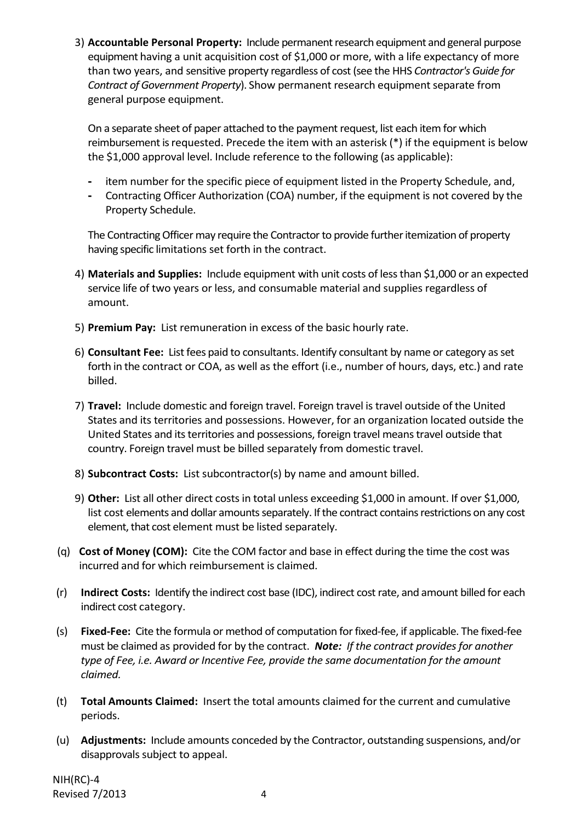3) **Accountable Personal Property:** Include permanent research equipment and general purpose equipment having a unit acquisition cost of \$1,000 or more, with a life expectancy of more than two years, and sensitive property regardless of cost (see the HHS *Contractor's Guide for Contract of Government Property*). Show permanent research equipment separate from general purpose equipment.

On a separate sheet of paper attached to the payment request, list each item for which reimbursement is requested. Precede the item with an asterisk (\*) if the equipment is below the \$1,000 approval level. Include reference to the following (as applicable):

- item number for the specific piece of equipment listed in the Property Schedule, and,
- Contracting Officer Authorization (COA) number, if the equipment is not covered by the Property Schedule.

The Contracting Officer may require the Contractor to provide further itemization of property having specific limitations set forth in the contract.

- 4) **Materials and Supplies:** Include equipment with unit costs of less than \$1,000 or an expected service life of two years or less, and consumable material and supplies regardless of amount.
- 5) **Premium Pay:** List remuneration in excess of the basic hourly rate.
- 6) **Consultant Fee:** List fees paid to consultants. Identify consultant by name or category as set forth in the contract or COA, as well as the effort (i.e., number of hours, days, etc.) and rate billed.
- 7) **Travel:** Include domestic and foreign travel. Foreign travel is travel outside of the United States and its territories and possessions. However, for an organization located outside the United States and its territories and possessions, foreign travel means travel outside that country. Foreign travel must be billed separately from domestic travel.
- 8) **Subcontract Costs:** List subcontractor(s) by name and amount billed.
- 9) **Other:** List all other direct costs in total unless exceeding \$1,000 in amount. If over \$1,000, list cost elements and dollar amounts separately. If the contract contains restrictions on any cost element, that cost element must be listed separately.
- (q) **Cost of Money (COM):** Cite the COM factor and base in effect during the time the cost was incurred and for which reimbursement is claimed.
- (r) **Indirect Costs:** Identify the indirect cost base (IDC), indirect cost rate, and amount billed for each indirect cost category.
- (s) **Fixed-Fee:** Cite the formula or method of computation for fixed-fee, if applicable. The fixed-fee must be claimed as provided for by the contract. *Note: If the contract provides for another type of Fee, i.e. Award or Incentive Fee, provide the same documentation for the amount claimed.*
- (t) **Total Amounts Claimed:** Insert the total amounts claimed for the current and cumulative periods.
- (u) **Adjustments:** Include amounts conceded by the Contractor, outstanding suspensions, and/or disapprovals subject to appeal.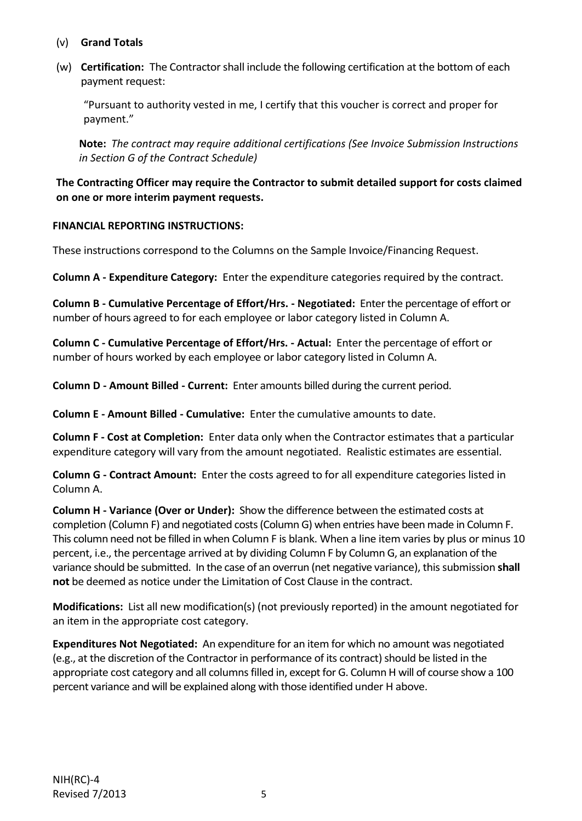- (v) **Grand Totals**
- (w) **Certification:** The Contractor shall include the following certification at the bottom of each payment request:

"Pursuant to authority vested in me, I certify that this voucher is correct and proper for payment."

**Note:** *The contract may require additional certifications (See Invoice Submission Instructions in Section G of the Contract Schedule)* 

**The Contracting Officer may require the Contractor to submit detailed support for costs claimed on one or more interim payment requests.** 

## **FINANCIAL REPORTING INSTRUCTIONS:**

These instructions correspond to the Columns on the Sample Invoice/Financing Request.

**Column A - Expenditure Category:** Enter the expenditure categories required by the contract.

**Column B - Cumulative Percentage of Effort/Hrs. - Negotiated:** Enter the percentage of effort or number of hours agreed to for each employee or labor category listed in Column A.

**Column C - Cumulative Percentage of Effort/Hrs. - Actual:** Enter the percentage of effort or number of hours worked by each employee or labor category listed in Column A.

**Column D - Amount Billed - Current:** Enter amounts billed during the current period.

**Column E - Amount Billed - Cumulative:** Enter the cumulative amounts to date.

**Column F - Cost at Completion:** Enter data only when the Contractor estimates that a particular expenditure category will vary from the amount negotiated. Realistic estimates are essential.

**Column G - Contract Amount:** Enter the costs agreed to for all expenditure categories listed in Column A.

**Column H - Variance (Over or Under):** Show the difference between the estimated costs at completion (Column F) and negotiated costs (Column G) when entries have been made in Column F. This column need not be filled in when Column F is blank. When a line item varies by plus or minus 10 percent, i.e., the percentage arrived at by dividing Column F by Column G, an explanation of the variance should be submitted. In the case of an overrun (net negative variance), this submission **shall not** be deemed as notice under the Limitation of Cost Clause in the contract.

**Modifications:** List all new modification(s) (not previously reported) in the amount negotiated for an item in the appropriate cost category.

**Expenditures Not Negotiated:** An expenditure for an item for which no amount was negotiated (e.g., at the discretion of the Contractor in performance of its contract) should be listed in the appropriate cost category and all columns filled in, except for G. Column H will of course show a 100 percent variance and will be explained along with those identified under H above.